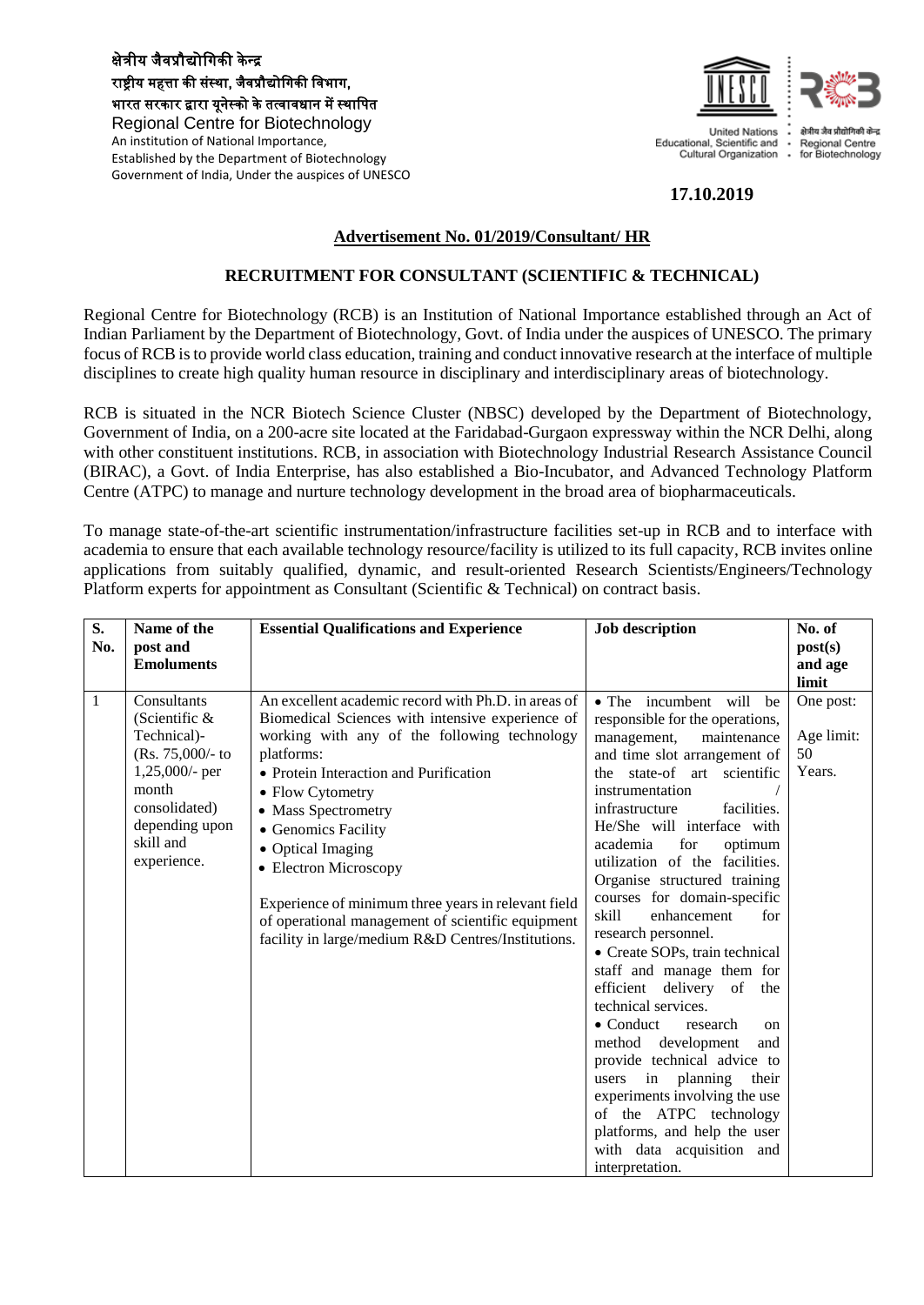#### क्षेत्रीय जैवप्रौद्योगिकी के न्द्र राष्ट्रीय महत्ता की संस्था, जैवप्रौद्योगिकी विभाग, भारत सरकार द्वारा यूनेस्को के तत्वावधान में स्थागित Regional Centre for Biotechnology An institution of National Importance, Established by the Department of Biotechnology Government of India, Under the auspices of UNESCO



# **17.10.2019**

## **Advertisement No. 01/2019/Consultant/ HR**

## **RECRUITMENT FOR CONSULTANT (SCIENTIFIC & TECHNICAL)**

Regional Centre for Biotechnology (RCB) is an Institution of National Importance established through an Act of Indian Parliament by the Department of Biotechnology, Govt. of India under the auspices of UNESCO. The primary focus of RCB is to provide world class education, training and conduct innovative research at the interface of multiple disciplines to create high quality human resource in disciplinary and interdisciplinary areas of biotechnology.

RCB is situated in the NCR Biotech Science Cluster (NBSC) developed by the Department of Biotechnology, Government of India, on a 200-acre site located at the Faridabad-Gurgaon expressway within the NCR Delhi, along with other constituent institutions. RCB, in association with Biotechnology Industrial Research Assistance Council (BIRAC), a Govt. of India Enterprise, has also established a Bio-Incubator, and Advanced Technology Platform Centre (ATPC) to manage and nurture technology development in the broad area of biopharmaceuticals.

To manage state-of-the-art scientific instrumentation/infrastructure facilities set-up in RCB and to interface with academia to ensure that each available technology resource/facility is utilized to its full capacity, RCB invites online applications from suitably qualified, dynamic, and result-oriented Research Scientists/Engineers/Technology Platform experts for appointment as Consultant (Scientific & Technical) on contract basis.

| S.  | Name of the                                                                                                                                                      | <b>Essential Qualifications and Experience</b>                                                                                                                                                                                                                                                                                                                                                                                                                                                    | <b>Job description</b>                                                                                                                                                                                                                                                                                                                                                                                                                                                                                                                                                                                                                                                                                                                                         | No. of                                  |
|-----|------------------------------------------------------------------------------------------------------------------------------------------------------------------|---------------------------------------------------------------------------------------------------------------------------------------------------------------------------------------------------------------------------------------------------------------------------------------------------------------------------------------------------------------------------------------------------------------------------------------------------------------------------------------------------|----------------------------------------------------------------------------------------------------------------------------------------------------------------------------------------------------------------------------------------------------------------------------------------------------------------------------------------------------------------------------------------------------------------------------------------------------------------------------------------------------------------------------------------------------------------------------------------------------------------------------------------------------------------------------------------------------------------------------------------------------------------|-----------------------------------------|
| No. | post and                                                                                                                                                         |                                                                                                                                                                                                                                                                                                                                                                                                                                                                                                   |                                                                                                                                                                                                                                                                                                                                                                                                                                                                                                                                                                                                                                                                                                                                                                | post(s)                                 |
|     | <b>Emoluments</b>                                                                                                                                                |                                                                                                                                                                                                                                                                                                                                                                                                                                                                                                   |                                                                                                                                                                                                                                                                                                                                                                                                                                                                                                                                                                                                                                                                                                                                                                | and age                                 |
|     |                                                                                                                                                                  |                                                                                                                                                                                                                                                                                                                                                                                                                                                                                                   |                                                                                                                                                                                                                                                                                                                                                                                                                                                                                                                                                                                                                                                                                                                                                                | limit                                   |
| 1   | Consultants<br>(Scientific $\&$<br>Technical)-<br>$(Rs. 75,000/- to$<br>$1,25,000$ - per<br>month<br>consolidated)<br>depending upon<br>skill and<br>experience. | An excellent academic record with Ph.D. in areas of<br>Biomedical Sciences with intensive experience of<br>working with any of the following technology<br>platforms:<br>• Protein Interaction and Purification<br>• Flow Cytometry<br>• Mass Spectrometry<br>• Genomics Facility<br>• Optical Imaging<br>• Electron Microscopy<br>Experience of minimum three years in relevant field<br>of operational management of scientific equipment<br>facility in large/medium R&D Centres/Institutions. | • The incumbent will<br>be<br>responsible for the operations,<br>management,<br>maintenance<br>and time slot arrangement of<br>the state-of art scientific<br>instrumentation<br>infrastructure<br>facilities.<br>He/She will interface with<br>for<br>academia<br>optimum<br>utilization of the facilities.<br>Organise structured training<br>courses for domain-specific<br>enhancement<br>skill<br>for<br>research personnel.<br>• Create SOPs, train technical<br>staff and manage them for<br>efficient delivery of the<br>technical services.<br>$\bullet$ Conduct<br>research<br><sub>on</sub><br>method development<br>and<br>provide technical advice to<br>in planning<br>their<br>users<br>experiments involving the use<br>of the ATPC technology | One post:<br>Age limit:<br>50<br>Years. |
|     |                                                                                                                                                                  |                                                                                                                                                                                                                                                                                                                                                                                                                                                                                                   | platforms, and help the user<br>with data acquisition and<br>interpretation.                                                                                                                                                                                                                                                                                                                                                                                                                                                                                                                                                                                                                                                                                   |                                         |